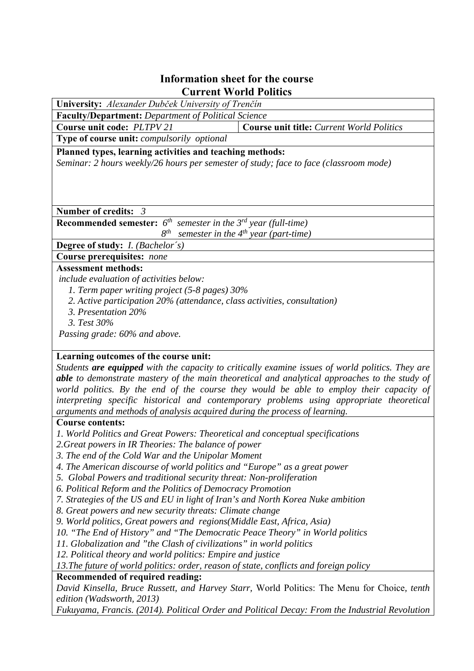## **Information sheet for the course Current World Politics**

| University: Alexander Dubček University of Trenčín                                    |                                                  |
|---------------------------------------------------------------------------------------|--------------------------------------------------|
| <b>Faculty/Department:</b> Department of Political Science                            |                                                  |
| Course unit code: PLTPV 21                                                            | <b>Course unit title:</b> Current World Politics |
| Type of course unit: compulsorily optional                                            |                                                  |
| Planned types, learning activities and teaching methods:                              |                                                  |
| Seminar: 2 hours weekly/26 hours per semester of study; face to face (classroom mode) |                                                  |
|                                                                                       |                                                  |
|                                                                                       |                                                  |
|                                                                                       |                                                  |
|                                                                                       |                                                  |
| Number of credits: $3$                                                                |                                                  |
| <b>Recommended semester:</b> $6^{th}$ semester in the $3^{rd}$ year (full-time)       |                                                  |
| $8^{th}$                                                                              | semester in the $4^{th}$ year (part-time)        |
| <b>Degree of study:</b> <i>I. (Bachelor's)</i>                                        |                                                  |
| Course prerequisites: none                                                            |                                                  |
| <b>Assessment methods:</b>                                                            |                                                  |
| include evaluation of activities below:                                               |                                                  |
| 1. Term paper writing project (5-8 pages) 30%                                         |                                                  |
| 2. Active participation 20% (attendance, class activities, consultation)              |                                                  |
| 3. Presentation 20%                                                                   |                                                  |
| 3. Test 30%                                                                           |                                                  |
|                                                                                       |                                                  |
| Passing grade: 60% and above.                                                         |                                                  |
|                                                                                       |                                                  |

## **Learning outcomes of the course unit:**

*Students are equipped with the capacity to critically examine issues of world politics. They are able to demonstrate mastery of the main theoretical and analytical approaches to the study of world politics. By the end of the course they would be able to employ their capacity of interpreting specific historical and contemporary problems using appropriate theoretical arguments and methods of analysis acquired during the process of learning.*

## **Course contents:**

- *1. World Politics and Great Powers: Theoretical and conceptual specifications*
- *2.Great powers in IR Theories: The balance of power*
- *3. The end of the Cold War and the Unipolar Moment*
- *4. The American discourse of world politics and "Europe" as a great power*
- *5. Global Powers and traditional security threat: Non-proliferation*
- *6. Political Reform and the Politics of Democracy Promotion*
- *7. Strategies of the US and EU in light of Iran's and North Korea Nuke ambition*
- *8. Great powers and new security threats: Climate change*
- *9. World politics, Great powers and regions(Middle East, Africa, Asia)*
- *10. "The End of History" and "The Democratic Peace Theory" in World politics*
- *11. Globalization and "the Clash of civilizations" in world politics*
- *12. Political theory and world politics: Empire and justice*

*13.The future of world politics: order, reason of state, conflicts and foreign policy*

## **Recommended of required reading:**

*David Kinsella, Bruce Russett, and Harvey Starr,* World Politics: The Menu for Choice*, tenth edition (Wadsworth, 2013)*

*Fukuyama, Francis. (2014). Political Order and Political Decay: From the Industrial Revolution*